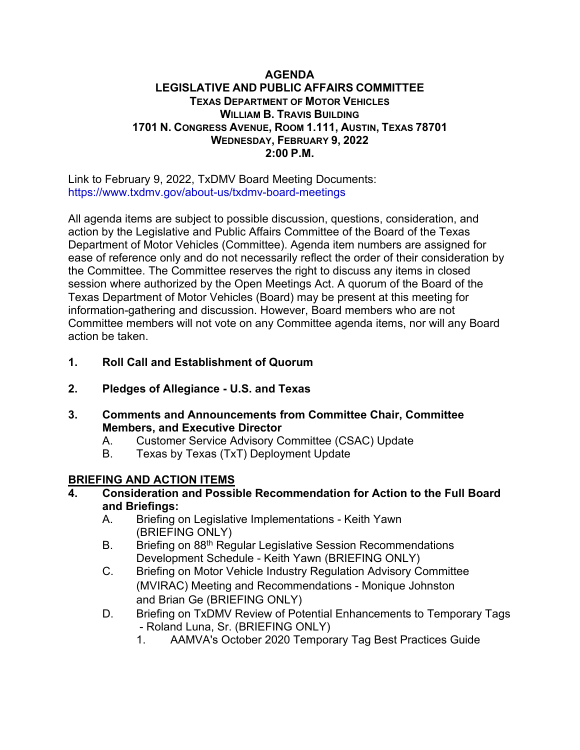#### **AGENDA LEGISLATIVE AND PUBLIC AFFAIRS COMMITTEE TEXAS DEPARTMENT OF MOTOR VEHICLES WILLIAM B. TRAVIS BUILDING 1701 N. CONGRESS AVENUE, ROOM 1.111, AUSTIN, TEXAS 78701 WEDNESDAY, FEBRUARY 9, 2022 2:00 P.M.**

Link to February 9, 2022, TxDMV Board Meeting Documents: <https://www.txdmv.gov/about-us/txdmv-board-meetings>

All agenda items are subject to possible discussion, questions, consideration, and action by the Legislative and Public Affairs Committee of the Board of the Texas Department of Motor Vehicles (Committee). Agenda item numbers are assigned for ease of reference only and do not necessarily reflect the order of their consideration by the Committee. The Committee reserves the right to discuss any items in closed session where authorized by the Open Meetings Act. A quorum of the Board of the Texas Department of Motor Vehicles (Board) may be present at this meeting for information-gathering and discussion. However, Board members who are not Committee members will not vote on any Committee agenda items, nor will any Board action be taken.

- **1. Roll Call and Establishment of Quorum**
- **2. Pledges of Allegiance - U.S. and Texas**
- **3. Comments and Announcements from Committee Chair, Committee Members, and Executive Director**
	- A. Customer Service Advisory Committee (CSAC) Update
	- B. Texas by Texas (TxT) Deployment Update

# **BRIEFING AND ACTION ITEMS**

- **4. Consideration and Possible Recommendation for Action to the Full Board and Briefings:**
	- A. Briefing on Legislative Implementations Keith Yawn (BRIEFING ONLY)
	- B. Briefing on 88<sup>th</sup> Regular Legislative Session Recommendations Development Schedule - Keith Yawn (BRIEFING ONLY)
	- C. Briefing on Motor Vehicle Industry Regulation Advisory Committee (MVIRAC) Meeting and Recommendations - Monique Johnston and Brian Ge (BRIEFING ONLY)
	- D. Briefing on TxDMV Review of Potential Enhancements to Temporary Tags - Roland Luna, Sr. (BRIEFING ONLY)
		- 1. AAMVA's October 2020 Temporary Tag Best Practices Guide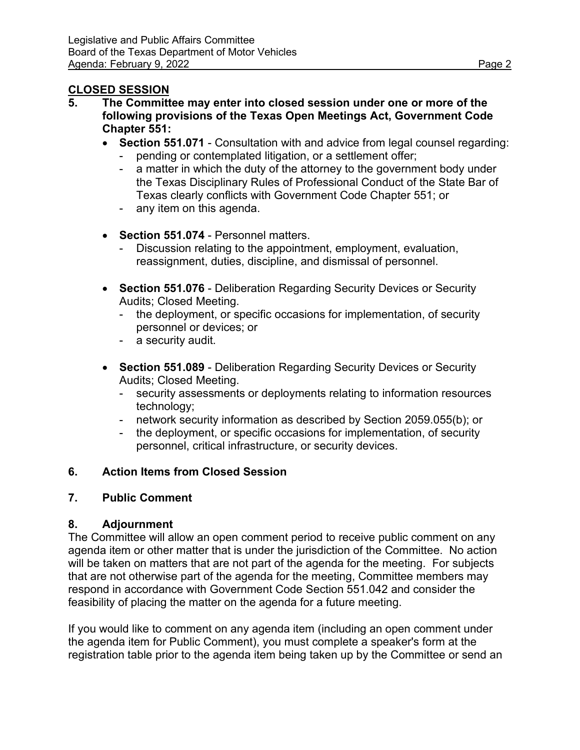## **CLOSED SESSION**

- **5. The Committee may enter into closed session under one or more of the following provisions of the Texas Open Meetings Act, Government Code Chapter 551:**
	- **Section 551.071** Consultation with and advice from legal counsel regarding:
		- pending or contemplated litigation, or a settlement offer;
		- a matter in which the duty of the attorney to the government body under the Texas Disciplinary Rules of Professional Conduct of the State Bar of Texas clearly conflicts with Government Code Chapter 551; or
		- any item on this agenda.
	- **Section 551.074** Personnel matters.
		- Discussion relating to the appointment, employment, evaluation, reassignment, duties, discipline, and dismissal of personnel.
	- **Section 551.076** Deliberation Regarding Security Devices or Security Audits; Closed Meeting.
		- the deployment, or specific occasions for implementation, of security personnel or devices; or
		- a security audit.
	- **Section 551.089** Deliberation Regarding Security Devices or Security Audits; Closed Meeting.
		- security assessments or deployments relating to information resources technology;
		- network security information as described by Section 2059.055(b); or
		- the deployment, or specific occasions for implementation, of security personnel, critical infrastructure, or security devices.

# **6. Action Items from Closed Session**

## **7. Public Comment**

## **8. Adjournment**

The Committee will allow an open comment period to receive public comment on any agenda item or other matter that is under the jurisdiction of the Committee. No action will be taken on matters that are not part of the agenda for the meeting. For subjects that are not otherwise part of the agenda for the meeting, Committee members may respond in accordance with Government Code Section 551.042 and consider the feasibility of placing the matter on the agenda for a future meeting.

If you would like to comment on any agenda item (including an open comment under the agenda item for Public Comment), you must complete a speaker's form at the registration table prior to the agenda item being taken up by the Committee or send an